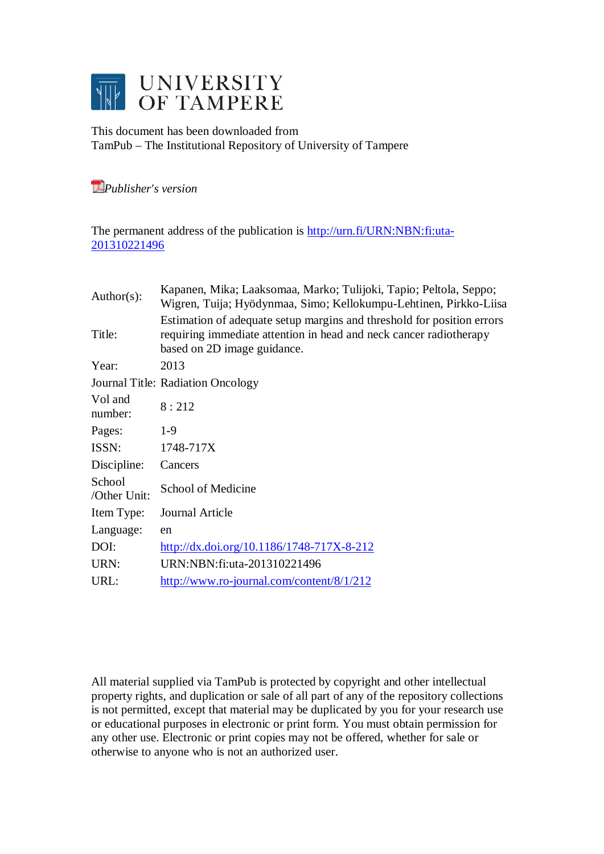

This document has been downloaded from TamPub – The Institutional Repository of University of Tampere

*[P](http://tampub.uta.fi/english/haekokoversio.php?id=1007)ublisher's version* 

The permanent address of the publication is [http://urn.fi/URN:NBN:fi:uta-](http://urn.fi/URN:NBN:fi:uta-201310221496)[201310221496](http://urn.fi/URN:NBN:fi:uta-201310221496)

| Author( $s$ ):         | Kapanen, Mika; Laaksomaa, Marko; Tulijoki, Tapio; Peltola, Seppo;<br>Wigren, Tuija; Hyödynmaa, Simo; Kellokumpu-Lehtinen, Pirkko-Liisa                                      |
|------------------------|-----------------------------------------------------------------------------------------------------------------------------------------------------------------------------|
| Title:                 | Estimation of adequate setup margins and threshold for position errors<br>requiring immediate attention in head and neck cancer radiotherapy<br>based on 2D image guidance. |
| Year:                  | 2013                                                                                                                                                                        |
|                        | Journal Title: Radiation Oncology                                                                                                                                           |
| Vol and<br>number:     | 8:212                                                                                                                                                                       |
| Pages:                 | $1-9$                                                                                                                                                                       |
| ISSN:                  | 1748-717X                                                                                                                                                                   |
| Discipline:            | Cancers                                                                                                                                                                     |
| School<br>/Other Unit: | School of Medicine                                                                                                                                                          |
| Item Type:             | Journal Article                                                                                                                                                             |
| Language:              | en                                                                                                                                                                          |
| DOI:                   | $\frac{http://dx.doi.org/10.1186/1748-717X-8-212}{http://dx.doi.org/10.1186/1748-717X-8-212}$                                                                               |
| URN:                   | URN:NBN:fi:uta-201310221496                                                                                                                                                 |
| URL:                   | http://www.ro-journal.com/content/8/1/212                                                                                                                                   |

All material supplied via TamPub is protected by copyright and other intellectual property rights, and duplication or sale of all part of any of the repository collections is not permitted, except that material may be duplicated by you for your research use or educational purposes in electronic or print form. You must obtain permission for any other use. Electronic or print copies may not be offered, whether for sale or otherwise to anyone who is not an authorized user.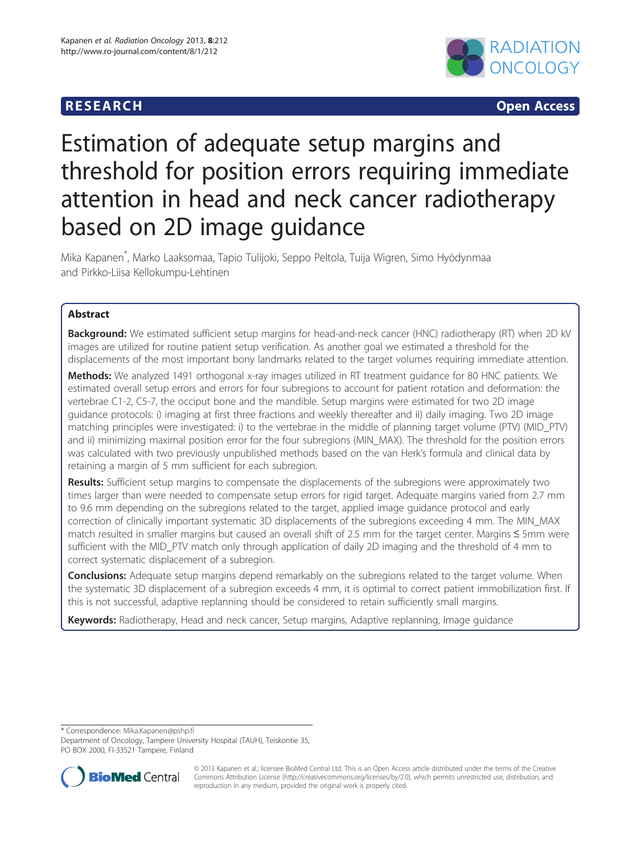

**RESEARCH CHINESEARCH CHINESEARCH** 

# Estimation of adequate setup margins and threshold for position errors requiring immediate attention in head and neck cancer radiotherapy based on 2D image guidance

Mika Kapanen\* , Marko Laaksomaa, Tapio Tulijoki, Seppo Peltola, Tuija Wigren, Simo Hyödynmaa and Pirkko-Liisa Kellokumpu-Lehtinen

# Abstract

Background: We estimated sufficient setup margins for head-and-neck cancer (HNC) radiotherapy (RT) when 2D kV images are utilized for routine patient setup verification. As another goal we estimated a threshold for the displacements of the most important bony landmarks related to the target volumes requiring immediate attention.

Methods: We analyzed 1491 orthogonal x-ray images utilized in RT treatment guidance for 80 HNC patients. We estimated overall setup errors and errors for four subregions to account for patient rotation and deformation: the vertebrae C1-2, C5-7, the occiput bone and the mandible. Setup margins were estimated for two 2D image guidance protocols: i) imaging at first three fractions and weekly thereafter and ii) daily imaging. Two 2D image matching principles were investigated: i) to the vertebrae in the middle of planning target volume (PTV) (MID\_PTV) and ii) minimizing maximal position error for the four subregions (MIN\_MAX). The threshold for the position errors was calculated with two previously unpublished methods based on the van Herk's formula and clinical data by retaining a margin of 5 mm sufficient for each subregion.

Results: Sufficient setup margins to compensate the displacements of the subregions were approximately two times larger than were needed to compensate setup errors for rigid target. Adequate margins varied from 2.7 mm to 9.6 mm depending on the subregions related to the target, applied image guidance protocol and early correction of clinically important systematic 3D displacements of the subregions exceeding 4 mm. The MIN\_MAX match resulted in smaller margins but caused an overall shift of 2.5 mm for the target center. Margins ≤ 5mm were sufficient with the MID\_PTV match only through application of daily 2D imaging and the threshold of 4 mm to correct systematic displacement of a subregion.

**Conclusions:** Adequate setup margins depend remarkably on the subregions related to the target volume. When the systematic 3D displacement of a subregion exceeds 4 mm, it is optimal to correct patient immobilization first. If this is not successful, adaptive replanning should be considered to retain sufficiently small margins.

Keywords: Radiotherapy, Head and neck cancer, Setup margins, Adaptive replanning, Image guidance

\* Correspondence: [Mika.Kapanen@pshp.fi](mailto:Mika.Kapanen@pshp.fi)

Department of Oncology, Tampere University Hospital (TAUH), Teiskontie 35, PO BOX 2000, FI-33521 Tampere, Finland



© 2013 Kapanen et al.; licensee BioMed Central Ltd. This is an Open Access article distributed under the terms of the Creative Commons Attribution License [\(http://creativecommons.org/licenses/by/2.0\)](http://creativecommons.org/licenses/by/2.0), which permits unrestricted use, distribution, and reproduction in any medium, provided the original work is properly cited.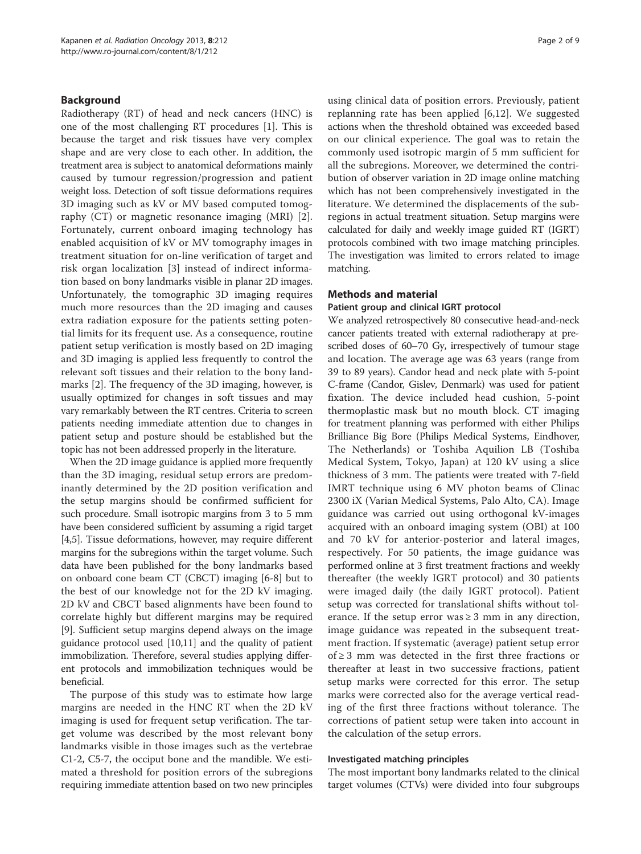## Background

Radiotherapy (RT) of head and neck cancers (HNC) is one of the most challenging RT procedures [[1\]](#page-8-0). This is because the target and risk tissues have very complex shape and are very close to each other. In addition, the treatment area is subject to anatomical deformations mainly caused by tumour regression/progression and patient weight loss. Detection of soft tissue deformations requires 3D imaging such as kV or MV based computed tomography (CT) or magnetic resonance imaging (MRI) [[2](#page-8-0)]. Fortunately, current onboard imaging technology has enabled acquisition of kV or MV tomography images in treatment situation for on-line verification of target and risk organ localization [\[3](#page-8-0)] instead of indirect information based on bony landmarks visible in planar 2D images. Unfortunately, the tomographic 3D imaging requires much more resources than the 2D imaging and causes extra radiation exposure for the patients setting potential limits for its frequent use. As a consequence, routine patient setup verification is mostly based on 2D imaging and 3D imaging is applied less frequently to control the relevant soft tissues and their relation to the bony landmarks [\[2](#page-8-0)]. The frequency of the 3D imaging, however, is usually optimized for changes in soft tissues and may vary remarkably between the RT centres. Criteria to screen patients needing immediate attention due to changes in patient setup and posture should be established but the topic has not been addressed properly in the literature.

When the 2D image guidance is applied more frequently than the 3D imaging, residual setup errors are predominantly determined by the 2D position verification and the setup margins should be confirmed sufficient for such procedure. Small isotropic margins from 3 to 5 mm have been considered sufficient by assuming a rigid target [[4,5](#page-8-0)]. Tissue deformations, however, may require different margins for the subregions within the target volume. Such data have been published for the bony landmarks based on onboard cone beam CT (CBCT) imaging [[6-8](#page-8-0)] but to the best of our knowledge not for the 2D kV imaging. 2D kV and CBCT based alignments have been found to correlate highly but different margins may be required [[9\]](#page-8-0). Sufficient setup margins depend always on the image guidance protocol used [\[10,11\]](#page-8-0) and the quality of patient immobilization. Therefore, several studies applying different protocols and immobilization techniques would be beneficial.

The purpose of this study was to estimate how large margins are needed in the HNC RT when the 2D kV imaging is used for frequent setup verification. The target volume was described by the most relevant bony landmarks visible in those images such as the vertebrae C1-2, C5-7, the occiput bone and the mandible. We estimated a threshold for position errors of the subregions requiring immediate attention based on two new principles

using clinical data of position errors. Previously, patient replanning rate has been applied [[6,12](#page-8-0)]. We suggested actions when the threshold obtained was exceeded based on our clinical experience. The goal was to retain the commonly used isotropic margin of 5 mm sufficient for all the subregions. Moreover, we determined the contribution of observer variation in 2D image online matching which has not been comprehensively investigated in the literature. We determined the displacements of the subregions in actual treatment situation. Setup margins were calculated for daily and weekly image guided RT (IGRT) protocols combined with two image matching principles. The investigation was limited to errors related to image matching.

### Methods and material

# Patient group and clinical IGRT protocol

We analyzed retrospectively 80 consecutive head-and-neck cancer patients treated with external radiotherapy at prescribed doses of 60–70 Gy, irrespectively of tumour stage and location. The average age was 63 years (range from 39 to 89 years). Candor head and neck plate with 5-point C-frame (Candor, Gislev, Denmark) was used for patient fixation. The device included head cushion, 5-point thermoplastic mask but no mouth block. CT imaging for treatment planning was performed with either Philips Brilliance Big Bore (Philips Medical Systems, Eindhover, The Netherlands) or Toshiba Aquilion LB (Toshiba Medical System, Tokyo, Japan) at 120 kV using a slice thickness of 3 mm. The patients were treated with 7-field IMRT technique using 6 MV photon beams of Clinac 2300 iX (Varian Medical Systems, Palo Alto, CA). Image guidance was carried out using orthogonal kV-images acquired with an onboard imaging system (OBI) at 100 and 70 kV for anterior-posterior and lateral images, respectively. For 50 patients, the image guidance was performed online at 3 first treatment fractions and weekly thereafter (the weekly IGRT protocol) and 30 patients were imaged daily (the daily IGRT protocol). Patient setup was corrected for translational shifts without tolerance. If the setup error was  $\geq 3$  mm in any direction, image guidance was repeated in the subsequent treatment fraction. If systematic (average) patient setup error of ≥ 3 mm was detected in the first three fractions or thereafter at least in two successive fractions, patient setup marks were corrected for this error. The setup marks were corrected also for the average vertical reading of the first three fractions without tolerance. The corrections of patient setup were taken into account in the calculation of the setup errors.

#### Investigated matching principles

The most important bony landmarks related to the clinical target volumes (CTVs) were divided into four subgroups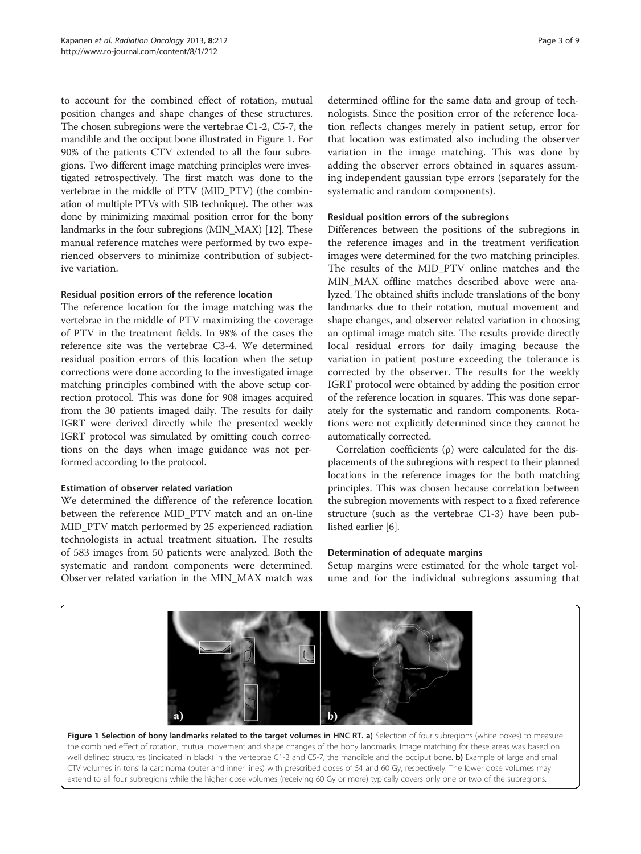<span id="page-3-0"></span>to account for the combined effect of rotation, mutual position changes and shape changes of these structures. The chosen subregions were the vertebrae C1-2, C5-7, the mandible and the occiput bone illustrated in Figure 1. For 90% of the patients CTV extended to all the four subregions. Two different image matching principles were investigated retrospectively. The first match was done to the vertebrae in the middle of PTV (MID\_PTV) (the combination of multiple PTVs with SIB technique). The other was done by minimizing maximal position error for the bony landmarks in the four subregions (MIN\_MAX) [[12\]](#page-8-0). These manual reference matches were performed by two experienced observers to minimize contribution of subjective variation.

### Residual position errors of the reference location

The reference location for the image matching was the vertebrae in the middle of PTV maximizing the coverage of PTV in the treatment fields. In 98% of the cases the reference site was the vertebrae C3-4. We determined residual position errors of this location when the setup corrections were done according to the investigated image matching principles combined with the above setup correction protocol. This was done for 908 images acquired from the 30 patients imaged daily. The results for daily IGRT were derived directly while the presented weekly IGRT protocol was simulated by omitting couch corrections on the days when image guidance was not performed according to the protocol.

# Estimation of observer related variation

We determined the difference of the reference location between the reference MID\_PTV match and an on-line MID\_PTV match performed by 25 experienced radiation technologists in actual treatment situation. The results of 583 images from 50 patients were analyzed. Both the systematic and random components were determined. Observer related variation in the MIN\_MAX match was determined offline for the same data and group of technologists. Since the position error of the reference location reflects changes merely in patient setup, error for that location was estimated also including the observer variation in the image matching. This was done by adding the observer errors obtained in squares assuming independent gaussian type errors (separately for the systematic and random components).

# Residual position errors of the subregions

Differences between the positions of the subregions in the reference images and in the treatment verification images were determined for the two matching principles. The results of the MID\_PTV online matches and the MIN MAX offline matches described above were analyzed. The obtained shifts include translations of the bony landmarks due to their rotation, mutual movement and shape changes, and observer related variation in choosing an optimal image match site. The results provide directly local residual errors for daily imaging because the variation in patient posture exceeding the tolerance is corrected by the observer. The results for the weekly IGRT protocol were obtained by adding the position error of the reference location in squares. This was done separately for the systematic and random components. Rotations were not explicitly determined since they cannot be automatically corrected.

Correlation coefficients (ρ) were calculated for the displacements of the subregions with respect to their planned locations in the reference images for the both matching principles. This was chosen because correlation between the subregion movements with respect to a fixed reference structure (such as the vertebrae C1-3) have been published earlier [\[6](#page-8-0)].

# Determination of adequate margins

Setup margins were estimated for the whole target volume and for the individual subregions assuming that



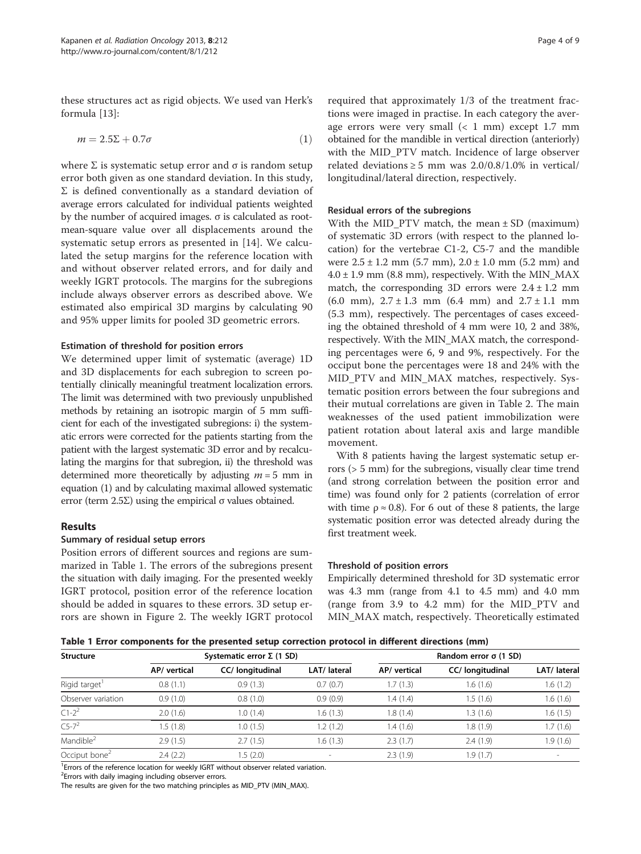<span id="page-4-0"></span>these structures act as rigid objects. We used van Herk's formula [\[13](#page-8-0)]:

$$
m = 2.5\Sigma + 0.7\sigma
$$
 (1)

where  $\Sigma$  is systematic setup error and  $\sigma$  is random setup error both given as one standard deviation. In this study,  $\Sigma$  is defined conventionally as a standard deviation of average errors calculated for individual patients weighted by the number of acquired images. σ is calculated as rootmean-square value over all displacements around the systematic setup errors as presented in [\[14](#page-8-0)]. We calculated the setup margins for the reference location with and without observer related errors, and for daily and weekly IGRT protocols. The margins for the subregions include always observer errors as described above. We estimated also empirical 3D margins by calculating 90 and 95% upper limits for pooled 3D geometric errors.

#### Estimation of threshold for position errors

We determined upper limit of systematic (average) 1D and 3D displacements for each subregion to screen potentially clinically meaningful treatment localization errors. The limit was determined with two previously unpublished methods by retaining an isotropic margin of 5 mm sufficient for each of the investigated subregions: i) the systematic errors were corrected for the patients starting from the patient with the largest systematic 3D error and by recalculating the margins for that subregion, ii) the threshold was determined more theoretically by adjusting  $m = 5$  mm in equation (1) and by calculating maximal allowed systematic error (term  $2.5\Sigma$ ) using the empirical  $\sigma$  values obtained.

#### Results

#### Summary of residual setup errors

Position errors of different sources and regions are summarized in Table 1. The errors of the subregions present the situation with daily imaging. For the presented weekly IGRT protocol, position error of the reference location should be added in squares to these errors. 3D setup errors are shown in Figure [2.](#page-5-0) The weekly IGRT protocol

required that approximately 1/3 of the treatment fractions were imaged in practise. In each category the average errors were very small  $( $1$  mm) except 1.7 mm$ obtained for the mandible in vertical direction (anteriorly) with the MID\_PTV match. Incidence of large observer related deviations  $\geq$  5 mm was 2.0/0.8/1.0% in vertical/ longitudinal/lateral direction, respectively.

#### Residual errors of the subregions

With the MID\_PTV match, the mean ± SD (maximum) of systematic 3D errors (with respect to the planned location) for the vertebrae C1-2, C5-7 and the mandible were  $2.5 \pm 1.2$  mm  $(5.7 \text{ mm})$ ,  $2.0 \pm 1.0$  mm  $(5.2 \text{ mm})$  and  $4.0 \pm 1.9$  mm (8.8 mm), respectively. With the MIN\_MAX match, the corresponding 3D errors were  $2.4 \pm 1.2$  mm  $(6.0 \text{ mm})$ ,  $2.7 \pm 1.3 \text{ mm}$   $(6.4 \text{ mm})$  and  $2.7 \pm 1.1 \text{ mm}$ (5.3 mm), respectively. The percentages of cases exceeding the obtained threshold of 4 mm were 10, 2 and 38%, respectively. With the MIN\_MAX match, the corresponding percentages were 6, 9 and 9%, respectively. For the occiput bone the percentages were 18 and 24% with the MID PTV and MIN MAX matches, respectively. Systematic position errors between the four subregions and their mutual correlations are given in Table [2](#page-5-0). The main weaknesses of the used patient immobilization were patient rotation about lateral axis and large mandible movement.

With 8 patients having the largest systematic setup errors (> 5 mm) for the subregions, visually clear time trend (and strong correlation between the position error and time) was found only for 2 patients (correlation of error with time  $\rho \approx 0.8$ ). For 6 out of these 8 patients, the large systematic position error was detected already during the first treatment week.

#### Threshold of position errors

Empirically determined threshold for 3D systematic error was 4.3 mm (range from 4.1 to 4.5 mm) and 4.0 mm (range from 3.9 to 4.2 mm) for the MID\_PTV and MIN\_MAX match, respectively. Theoretically estimated

Table 1 Error components for the presented setup correction protocol in different directions (mm)

| <b>Structure</b>          |              | Systematic error $\Sigma$ (1 SD) |              |              | Random error $\sigma$ (1 SD) |                          |
|---------------------------|--------------|----------------------------------|--------------|--------------|------------------------------|--------------------------|
|                           | AP/ vertical | CC/ longitudinal                 | LAT/ lateral | AP/ vertical | CC/ longitudinal             | LAT/ lateral             |
| Rigid target <sup>1</sup> | 0.8(1.1)     | 0.9(1.3)                         | 0.7(0.7)     | 1.7(1.3)     | 1.6(1.6)                     | 1.6(1.2)                 |
| Observer variation        | 0.9(1.0)     | 0.8(1.0)                         | 0.9(0.9)     | 1.4(1.4)     | 1.5 (1.6)                    | 1.6(1.6)                 |
| $C1 - 2^2$                | 2.0(1.6)     | 1.0(1.4)                         | 1.6(1.3)     | 1.8(1.4)     | 1.3(1.6)                     | 1.6(1.5)                 |
| $C5 - 7^2$                | .5(1.8)      | 1.0(1.5)                         | 1.2(1.2)     | 1.4 (1.6)    | 1.8(1.9)                     | 1.7(1.6)                 |
| Mandible <sup>2</sup>     | 2.9(1.5)     | 2.7(1.5)                         | 1.6(1.3)     | 2.3(1.7)     | 2.4(1.9)                     | 1.9(1.6)                 |
| Occiput bone <sup>2</sup> | 2.4(2.2)     | 1.5(2.0)                         | $\sim$       | 2.3(1.9)     | 1.9(1.7)                     | $\overline{\phantom{a}}$ |

<sup>1</sup> Errors of the reference location for weekly IGRT without observer related variation.

<sup>2</sup> Errors with daily imaging including observer errors.

The results are given for the two matching principles as MID\_PTV (MIN\_MAX).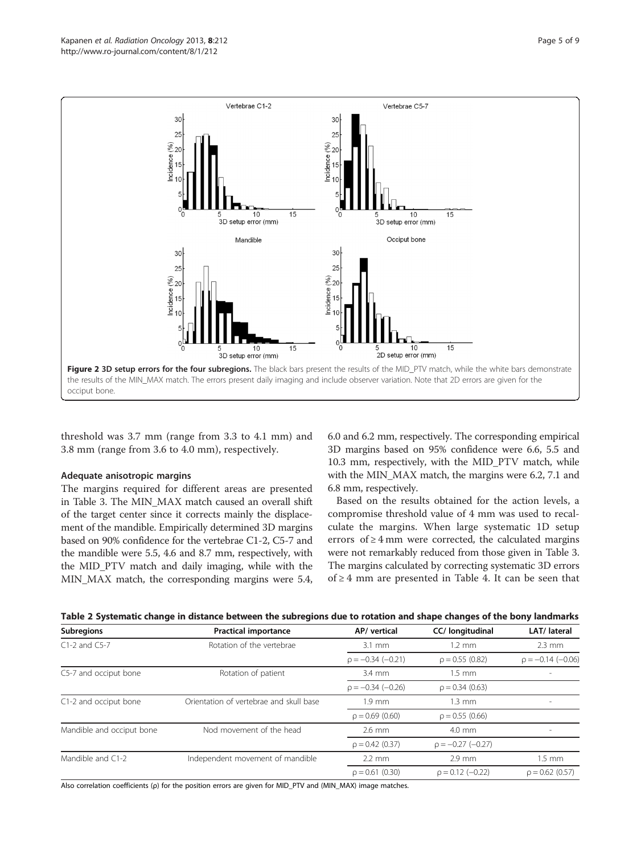<span id="page-5-0"></span>

threshold was 3.7 mm (range from 3.3 to 4.1 mm) and 3.8 mm (range from 3.6 to 4.0 mm), respectively.

#### Adequate anisotropic margins

The margins required for different areas are presented in Table [3](#page-6-0). The MIN\_MAX match caused an overall shift of the target center since it corrects mainly the displacement of the mandible. Empirically determined 3D margins based on 90% confidence for the vertebrae C1-2, C5-7 and the mandible were 5.5, 4.6 and 8.7 mm, respectively, with the MID\_PTV match and daily imaging, while with the MIN\_MAX match, the corresponding margins were 5.4, 6.0 and 6.2 mm, respectively. The corresponding empirical 3D margins based on 95% confidence were 6.6, 5.5 and 10.3 mm, respectively, with the MID\_PTV match, while with the MIN\_MAX match, the margins were 6.2, 7.1 and 6.8 mm, respectively.

Based on the results obtained for the action levels, a compromise threshold value of 4 mm was used to recalculate the margins. When large systematic 1D setup errors of  $\geq 4$  mm were corrected, the calculated margins were not remarkably reduced from those given in Table [3](#page-6-0). The margins calculated by correcting systematic 3D errors of ≥ 4 mm are presented in Table [4.](#page-6-0) It can be seen that

|  | Table 2 Systematic change in distance between the subregions due to rotation and shape changes of the bony landmarks |  |
|--|----------------------------------------------------------------------------------------------------------------------|--|
|  |                                                                                                                      |  |

| Subregions                | <b>Practical importance</b>             | AP/ vertical         | CC/ longitudinal      | LAT/ lateral         |
|---------------------------|-----------------------------------------|----------------------|-----------------------|----------------------|
| $C1-2$ and $C5-7$         | Rotation of the vertebrae               | $3.1 \text{ mm}$     | $1.2 \text{ mm}$      | $2.3 \text{ mm}$     |
|                           |                                         | $p = -0.34 (-0.21)$  | $\rho = 0.55(0.82)$   | $p = -0.14 (-0.06)$  |
| C5-7 and occiput bone     | Rotation of patient                     | $3.4 \text{ mm}$     | $1.5$ mm              |                      |
|                           |                                         | $p = -0.34 (-0.26)$  | $\rho = 0.34(0.63)$   |                      |
| C1-2 and occiput bone     | Orientation of vertebrae and skull base | $1.9 \text{ mm}$     | $1.3 \text{ mm}$      |                      |
|                           |                                         | $\rho = 0.69(0.60)$  | $\rho = 0.55(0.66)$   |                      |
| Mandible and occiput bone | Nod movement of the head                | $2.6$ mm             | 4.0 mm                |                      |
|                           |                                         | $\rho = 0.42$ (0.37) | $p = -0.27$ (-0.27)   |                      |
| Mandible and C1-2         | Independent movement of mandible        | $2.2 \text{ mm}$     | $2.9$ mm              | $1.5$ mm             |
|                           |                                         | $\rho = 0.61(0.30)$  | $\rho = 0.12$ (-0.22) | $\rho = 0.62$ (0.57) |

Also correlation coefficients (ρ) for the position errors are given for MID\_PTV and (MIN\_MAX) image matches.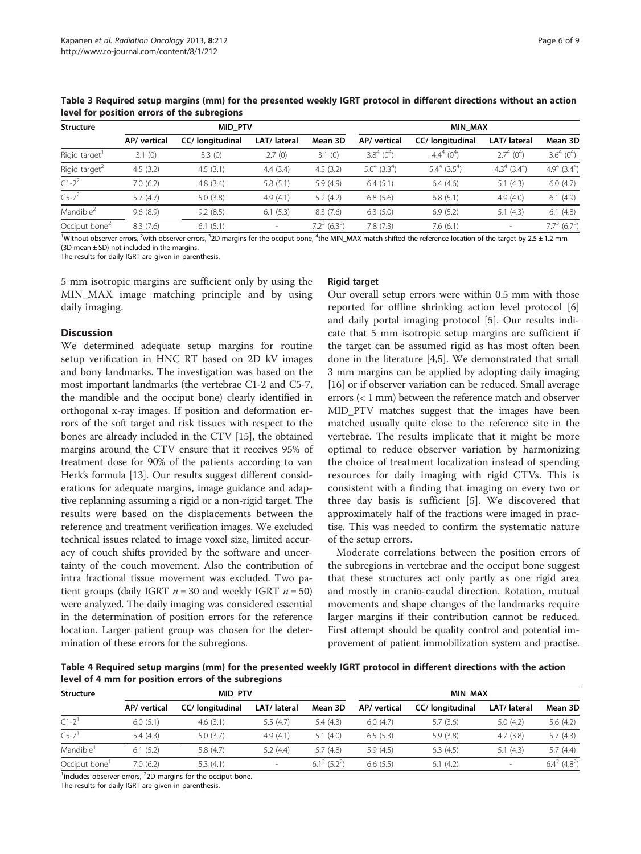| <b>Structure</b>          | <u>ister ivi positivii eriois ol tiis supregioiis</u><br><b>MID PTV</b> |                  |              |                             | <b>MIN MAX</b>                |                             |                               |                               |
|---------------------------|-------------------------------------------------------------------------|------------------|--------------|-----------------------------|-------------------------------|-----------------------------|-------------------------------|-------------------------------|
|                           | AP/vertical                                                             | CC/ longitudinal | LAT/ lateral | Mean 3D                     | AP/vertical                   | CC/ longitudinal            | LAT/ lateral                  | Mean 3D                       |
| Rigid target              | 3.1(0)                                                                  | 3.3(0)           | 2.7(0)       | 3.1(0)                      | $3.8^{4}$ (0 <sup>4</sup> )   | $4.4^{4}$ (0 <sup>4</sup> ) | $2.7^{4}$ (0 <sup>4</sup> )   | $3.6^{4}$ (0 <sup>4</sup> )   |
| Rigid target <sup>2</sup> | 4.5(3.2)                                                                | 4.5(3.1)         | 4.4(3.4)     | 4.5(3.2)                    | $5.0^{4}$ (3.3 <sup>4</sup> ) | $5.4^4$ (3.5 <sup>4</sup> ) | $4.3^{4}$ (3.4 <sup>4</sup> ) | $4.9^{4}$ (3.4 <sup>4</sup> ) |
| $C1 - 2^2$                | 7.0(6.2)                                                                | 4.8(3.4)         | 5.8(5.1)     | 5.9(4.9)                    | 6.4(5.1)                      | 6.4(4.6)                    | 5.1(4.3)                      | 6.0(4.7)                      |
| $C5 - 7^2$                | 5.7(4.7)                                                                | 5.0(3.8)         | 4.9(4.1)     | 5.2(4.2)                    | 6.8(5.6)                      | 6.8(5.1)                    | 4.9(4.0)                      | 6.1(4.9)                      |
| Mandible <sup>2</sup>     | 9.6(8.9)                                                                | 9.2(8.5)         | 6.1(5.3)     | 8.3(7.6)                    | 6.3(5.0)                      | 6.9(5.2)                    | 5.1(4.3)                      | 6.1(4.8)                      |
| Occiput bone <sup>2</sup> | 8.3(7.6)                                                                | 6.1(5.1)         | $\sim$       | $7.2^3$ (6.3 <sup>3</sup> ) | 7.8(7.3)                      | 7.6(6.1)                    | $\sim$                        | $7.7^3$ (6.7 <sup>3</sup> )   |

<span id="page-6-0"></span>Table 3 Required setup margins (mm) for the presented weekly IGRT protocol in different directions without an action level for position errors of the subregions

<sup>1</sup>Without observer errors, <sup>2</sup>with observer errors, <sup>3</sup>2D margins for the occiput bone, <sup>4</sup>the MIN\_MAX match shifted the reference location of the target by 2.5 ± 1.2 mm  $(3D \text{ mean} + SD)$  not included in the margins.

The results for daily IGRT are given in parenthesis.

5 mm isotropic margins are sufficient only by using the MIN\_MAX image matching principle and by using daily imaging.

#### **Discussion**

We determined adequate setup margins for routine setup verification in HNC RT based on 2D kV images and bony landmarks. The investigation was based on the most important landmarks (the vertebrae C1-2 and C5-7, the mandible and the occiput bone) clearly identified in orthogonal x-ray images. If position and deformation errors of the soft target and risk tissues with respect to the bones are already included in the CTV [[15](#page-8-0)], the obtained margins around the CTV ensure that it receives 95% of treatment dose for 90% of the patients according to van Herk's formula [\[13\]](#page-8-0). Our results suggest different considerations for adequate margins, image guidance and adaptive replanning assuming a rigid or a non-rigid target. The results were based on the displacements between the reference and treatment verification images. We excluded technical issues related to image voxel size, limited accuracy of couch shifts provided by the software and uncertainty of the couch movement. Also the contribution of intra fractional tissue movement was excluded. Two patient groups (daily IGRT  $n = 30$  and weekly IGRT  $n = 50$ ) were analyzed. The daily imaging was considered essential in the determination of position errors for the reference location. Larger patient group was chosen for the determination of these errors for the subregions.

#### Rigid target

Our overall setup errors were within 0.5 mm with those reported for offline shrinking action level protocol [\[6](#page-8-0)] and daily portal imaging protocol [\[5](#page-8-0)]. Our results indicate that 5 mm isotropic setup margins are sufficient if the target can be assumed rigid as has most often been done in the literature [[4,5\]](#page-8-0). We demonstrated that small 3 mm margins can be applied by adopting daily imaging [[16](#page-9-0)] or if observer variation can be reduced. Small average errors (< 1 mm) between the reference match and observer MID\_PTV matches suggest that the images have been matched usually quite close to the reference site in the vertebrae. The results implicate that it might be more optimal to reduce observer variation by harmonizing the choice of treatment localization instead of spending resources for daily imaging with rigid CTVs. This is consistent with a finding that imaging on every two or three day basis is sufficient [\[5](#page-8-0)]. We discovered that approximately half of the fractions were imaged in practise. This was needed to confirm the systematic nature of the setup errors.

Moderate correlations between the position errors of the subregions in vertebrae and the occiput bone suggest that these structures act only partly as one rigid area and mostly in cranio-caudal direction. Rotation, mutual movements and shape changes of the landmarks require larger margins if their contribution cannot be reduced. First attempt should be quality control and potential improvement of patient immobilization system and practise.

Table 4 Required setup margins (mm) for the presented weekly IGRT protocol in different directions with the action level of 4 mm for position errors of the subregions

| <b>Structure</b>          | MID PTV      |                  |              |                             | <b>MIN MAX</b> |                  |              |                             |
|---------------------------|--------------|------------------|--------------|-----------------------------|----------------|------------------|--------------|-----------------------------|
|                           | AP/ vertical | CC/ longitudinal | LAT/ lateral | Mean 3D                     | AP/ vertical   | CC/ longitudinal | LAT/ lateral | Mean 3D                     |
| $C1-2$                    | 6.0(5.1)     | 4.6(3.1)         | 5.5(4.7)     | 5.4(4.3)                    | 6.0(4.7)       | 5.7(3.6)         | 5.0(4.2)     | 5.6(4.2)                    |
| $C5-7$ <sup>1</sup>       | 5.4(4.3)     | 5.0(3.7)         | 4.9(4.1)     | 5.1(4.0)                    | 6.5(5.3)       | 5.9(3.8)         | 4.7(3.8)     | 5.7(4.3)                    |
| Mandible <sup>1</sup>     | 6.1(5.2)     | 5.8(4.7)         | 5.2(4.4)     | 5.7(4.8)                    | 5.9(4.5)       | 6.3(4.5)         | 5.1(4.3)     | 5.7(4.4)                    |
| Occiput bone <sup>1</sup> | 7.0 (6.2)    | 5.3(4.1)         | $\sim$       | $6.1^2$ (5.2 <sup>2</sup> ) | 6.6(5.5)       | 6.1(4.2)         | $\sim$       | $6.4^2$ (4.8 <sup>2</sup> ) |

 $1$  includes observer errors,  $2$ D margins for the occiput bone.

The results for daily IGRT are given in parenthesis.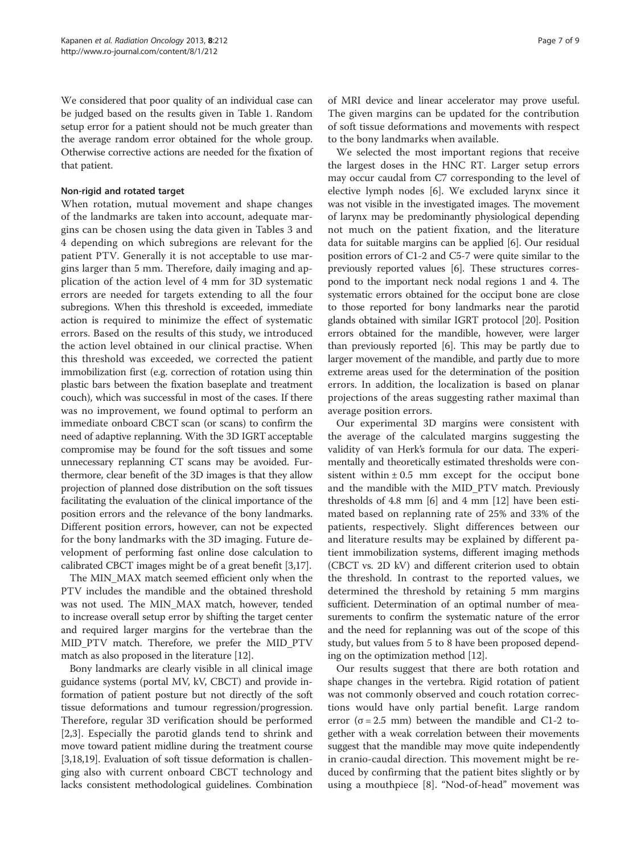We considered that poor quality of an individual case can be judged based on the results given in Table [1](#page-4-0). Random setup error for a patient should not be much greater than the average random error obtained for the whole group. Otherwise corrective actions are needed for the fixation of that patient.

# Non-rigid and rotated target

When rotation, mutual movement and shape changes of the landmarks are taken into account, adequate margins can be chosen using the data given in Tables [3](#page-6-0) and [4](#page-6-0) depending on which subregions are relevant for the patient PTV. Generally it is not acceptable to use margins larger than 5 mm. Therefore, daily imaging and application of the action level of 4 mm for 3D systematic errors are needed for targets extending to all the four subregions. When this threshold is exceeded, immediate action is required to minimize the effect of systematic errors. Based on the results of this study, we introduced the action level obtained in our clinical practise. When this threshold was exceeded, we corrected the patient immobilization first (e.g. correction of rotation using thin plastic bars between the fixation baseplate and treatment couch), which was successful in most of the cases. If there was no improvement, we found optimal to perform an immediate onboard CBCT scan (or scans) to confirm the need of adaptive replanning. With the 3D IGRT acceptable compromise may be found for the soft tissues and some unnecessary replanning CT scans may be avoided. Furthermore, clear benefit of the 3D images is that they allow projection of planned dose distribution on the soft tissues facilitating the evaluation of the clinical importance of the position errors and the relevance of the bony landmarks. Different position errors, however, can not be expected for the bony landmarks with the 3D imaging. Future development of performing fast online dose calculation to calibrated CBCT images might be of a great benefit [[3,](#page-8-0)[17](#page-9-0)].

The MIN\_MAX match seemed efficient only when the PTV includes the mandible and the obtained threshold was not used. The MIN\_MAX match, however, tended to increase overall setup error by shifting the target center and required larger margins for the vertebrae than the MID\_PTV match. Therefore, we prefer the MID\_PTV match as also proposed in the literature [[12](#page-8-0)].

Bony landmarks are clearly visible in all clinical image guidance systems (portal MV, kV, CBCT) and provide information of patient posture but not directly of the soft tissue deformations and tumour regression/progression. Therefore, regular 3D verification should be performed [[2,3](#page-8-0)]. Especially the parotid glands tend to shrink and move toward patient midline during the treatment course [[3,](#page-8-0)[18,19\]](#page-9-0). Evaluation of soft tissue deformation is challenging also with current onboard CBCT technology and lacks consistent methodological guidelines. Combination of MRI device and linear accelerator may prove useful. The given margins can be updated for the contribution of soft tissue deformations and movements with respect to the bony landmarks when available.

We selected the most important regions that receive the largest doses in the HNC RT. Larger setup errors may occur caudal from C7 corresponding to the level of elective lymph nodes [\[6](#page-8-0)]. We excluded larynx since it was not visible in the investigated images. The movement of larynx may be predominantly physiological depending not much on the patient fixation, and the literature data for suitable margins can be applied [\[6](#page-8-0)]. Our residual position errors of C1-2 and C5-7 were quite similar to the previously reported values [\[6\]](#page-8-0). These structures correspond to the important neck nodal regions 1 and 4. The systematic errors obtained for the occiput bone are close to those reported for bony landmarks near the parotid glands obtained with similar IGRT protocol [\[20\]](#page-9-0). Position errors obtained for the mandible, however, were larger than previously reported [\[6](#page-8-0)]. This may be partly due to larger movement of the mandible, and partly due to more extreme areas used for the determination of the position errors. In addition, the localization is based on planar projections of the areas suggesting rather maximal than average position errors.

Our experimental 3D margins were consistent with the average of the calculated margins suggesting the validity of van Herk's formula for our data. The experimentally and theoretically estimated thresholds were consistent within  $\pm 0.5$  mm except for the occiput bone and the mandible with the MID\_PTV match. Previously thresholds of 4.8 mm [\[6](#page-8-0)] and 4 mm [[12](#page-8-0)] have been estimated based on replanning rate of 25% and 33% of the patients, respectively. Slight differences between our and literature results may be explained by different patient immobilization systems, different imaging methods (CBCT vs. 2D kV) and different criterion used to obtain the threshold. In contrast to the reported values, we determined the threshold by retaining 5 mm margins sufficient. Determination of an optimal number of measurements to confirm the systematic nature of the error and the need for replanning was out of the scope of this study, but values from 5 to 8 have been proposed depending on the optimization method [\[12\]](#page-8-0).

Our results suggest that there are both rotation and shape changes in the vertebra. Rigid rotation of patient was not commonly observed and couch rotation corrections would have only partial benefit. Large random error ( $\sigma$  = 2.5 mm) between the mandible and C1-2 together with a weak correlation between their movements suggest that the mandible may move quite independently in cranio-caudal direction. This movement might be reduced by confirming that the patient bites slightly or by using a mouthpiece [[8\]](#page-8-0). "Nod-of-head" movement was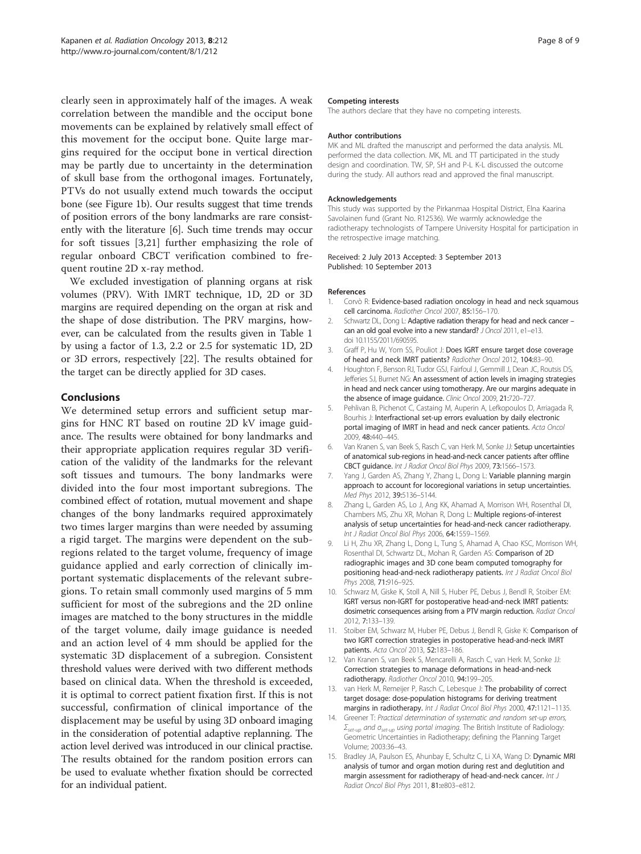<span id="page-8-0"></span>clearly seen in approximately half of the images. A weak correlation between the mandible and the occiput bone movements can be explained by relatively small effect of this movement for the occiput bone. Quite large margins required for the occiput bone in vertical direction may be partly due to uncertainty in the determination of skull base from the orthogonal images. Fortunately, PTVs do not usually extend much towards the occiput bone (see Figure [1](#page-3-0)b). Our results suggest that time trends of position errors of the bony landmarks are rare consistently with the literature [6]. Such time trends may occur for soft tissues [3,[21\]](#page-9-0) further emphasizing the role of regular onboard CBCT verification combined to frequent routine 2D x-ray method.

We excluded investigation of planning organs at risk volumes (PRV). With IMRT technique, 1D, 2D or 3D margins are required depending on the organ at risk and the shape of dose distribution. The PRV margins, however, can be calculated from the results given in Table [1](#page-4-0) by using a factor of 1.3, 2.2 or 2.5 for systematic 1D, 2D or 3D errors, respectively [\[22\]](#page-9-0). The results obtained for the target can be directly applied for 3D cases.

### Conclusions

We determined setup errors and sufficient setup margins for HNC RT based on routine 2D kV image guidance. The results were obtained for bony landmarks and their appropriate application requires regular 3D verification of the validity of the landmarks for the relevant soft tissues and tumours. The bony landmarks were divided into the four most important subregions. The combined effect of rotation, mutual movement and shape changes of the bony landmarks required approximately two times larger margins than were needed by assuming a rigid target. The margins were dependent on the subregions related to the target volume, frequency of image guidance applied and early correction of clinically important systematic displacements of the relevant subregions. To retain small commonly used margins of 5 mm sufficient for most of the subregions and the 2D online images are matched to the bony structures in the middle of the target volume, daily image guidance is needed and an action level of 4 mm should be applied for the systematic 3D displacement of a subregion. Consistent threshold values were derived with two different methods based on clinical data. When the threshold is exceeded, it is optimal to correct patient fixation first. If this is not successful, confirmation of clinical importance of the displacement may be useful by using 3D onboard imaging in the consideration of potential adaptive replanning. The action level derived was introduced in our clinical practise. The results obtained for the random position errors can be used to evaluate whether fixation should be corrected for an individual patient.

#### Competing interests

The authors declare that they have no competing interests.

#### Author contributions

MK and ML drafted the manuscript and performed the data analysis. ML performed the data collection. MK, ML and TT participated in the study design and coordination. TW, SP, SH and P-L K-L discussed the outcome during the study. All authors read and approved the final manuscript.

#### Acknowledgements

This study was supported by the Pirkanmaa Hospital District, Elna Kaarina Savolainen fund (Grant No. R12536). We warmly acknowledge the radiotherapy technologists of Tampere University Hospital for participation in the retrospective image matching.

#### Received: 2 July 2013 Accepted: 3 September 2013 Published: 10 September 2013

#### References

- 1. Corvò R: Evidence-based radiation oncology in head and neck squamous cell carcinoma. Radiother Oncol 2007, 85:156–170.
- 2. Schwartz DL, Dong L: Adaptive radiation therapy for head and neck cancer can an old goal evolve into a new standard? J Oncol 2011, e1–e13. doi 10.1155/2011/690595.
- 3. Graff P, Hu W, Yom SS, Pouliot J: Does IGRT ensure target dose coverage of head and neck IMRT patients? Radiother Oncol 2012, 104:83–90.
- 4. Houghton F, Benson RJ, Tudor GSJ, Fairfoul J, Gemmill J, Dean JC, Routsis DS, Jefferies SJ, Burnet NG: An assessment of action levels in imaging strategies in head and neck cancer using tomotherapy. Are our margins adequate in the absence of image guidance. Clinic Oncol 2009, 21:720–727.
- 5. Pehlivan B, Pichenot C, Castaing M, Auperin A, Lefkopoulos D, Arriagada R, Bourhis J: Interfractional set-up errors evaluation by daily electronic portal imaging of IMRT in head and neck cancer patients. Acta Oncol 2009, 48:440–445.
- 6. Van Kranen S, van Beek S, Rasch C, van Herk M, Sonke JJ: Setup uncertainties of anatomical sub-regions in head-and-neck cancer patients after offline CBCT guidance. Int J Radiat Oncol Biol Phys 2009, 73:1566–1573.
- 7. Yang J, Garden AS, Zhang Y, Zhang L, Dong L: Variable planning margin approach to account for locoregional variations in setup uncertainties. Med Phys 2012, 39:5136–5144.
- 8. Zhang L, Garden AS, Lo J, Ang KK, Ahamad A, Morrison WH, Rosenthal DI, Chambers MS, Zhu XR, Mohan R, Dong L: Multiple regions-of-interest analysis of setup uncertainties for head-and-neck cancer radiotherapy. Int J Radiat Oncol Biol Phys 2006, 64:1559–1569.
- 9. Li H, Zhu XR, Zhang L, Dong L, Tung S, Ahamad A, Chao KSC, Morrison WH, Rosenthal DI, Schwartz DL, Mohan R, Garden AS: Comparison of 2D radiographic images and 3D cone beam computed tomography for positioning head-and-neck radiotherapy patients. Int J Radiat Oncol Biol Phys 2008, 71:916–925.
- 10. Schwarz M, Giske K, Stoll A, Nill S, Huber PE, Debus J, Bendl R, Stoiber EM: IGRT versus non-IGRT for postoperative head-and-neck IMRT patients: dosimetric consequences arising from a PTV margin reduction. Radiat Oncol 2012, 7:133–139.
- 11. Stoiber EM, Schwarz M, Huber PE, Debus J, Bendl R, Giske K: Comparison of two IGRT correction strategies in postoperative head-and-neck IMRT patients. Acta Oncol 2013, 52:183–186.
- 12. Van Kranen S, van Beek S, Mencarelli A, Rasch C, van Herk M, Sonke JJ: Correction strategies to manage deformations in head-and-neck radiotherapy. Radiother Oncol 2010, 94:199–205.
- 13. van Herk M, Remeijer P, Rasch C, Lebesque J: The probability of correct target dosage: dose-population histograms for deriving treatment margins in radiotherapy. Int J Radiat Oncol Biol Phys 2000, 47:1121-1135.
- 14. Greener T: Practical determination of systematic and random set-up errors,  $\Sigma_{set-up}$  and  $\sigma_{set-up}$  using portal imaging. The British Institute of Radiology: Geometric Uncertainties in Radiotherapy; defining the Planning Target Volume; 2003:36–43.
- 15. Bradley JA, Paulson ES, Ahunbay E, Schultz C, Li XA, Wang D: Dynamic MRI analysis of tumor and organ motion during rest and deglutition and margin assessment for radiotherapy of head-and-neck cancer. Int J Radiat Oncol Biol Phys 2011, 81:e803–e812.